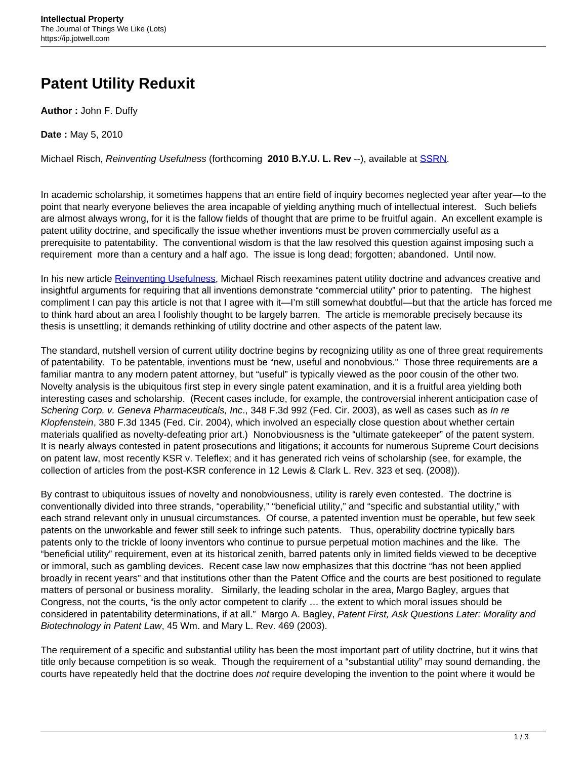## **Patent Utility Reduxit**

**Author :** John F. Duffy

**Date :** May 5, 2010

Michael Risch, Reinventing Usefulness (forthcoming **2010 B.Y.U. L. Rev** --), available at [SSRN.](http://papers.ssrn.com/sol3/papers.cfm?abstract_id=1568063)

In academic scholarship, it sometimes happens that an entire field of inquiry becomes neglected year after year—to the point that nearly everyone believes the area incapable of yielding anything much of intellectual interest. Such beliefs are almost always wrong, for it is the fallow fields of thought that are prime to be fruitful again. An excellent example is patent utility doctrine, and specifically the issue whether inventions must be proven commercially useful as a prerequisite to patentability. The conventional wisdom is that the law resolved this question against imposing such a requirement more than a century and a half ago. The issue is long dead; forgotten; abandoned. Until now.

In his new article [Reinventing Usefulness,](http://papers.ssrn.com/sol3/papers.cfm?abstract_id=1568063) Michael Risch reexamines patent utility doctrine and advances creative and insightful arguments for requiring that all inventions demonstrate "commercial utility" prior to patenting. The highest compliment I can pay this article is not that I agree with it—I'm still somewhat doubtful—but that the article has forced me to think hard about an area I foolishly thought to be largely barren. The article is memorable precisely because its thesis is unsettling; it demands rethinking of utility doctrine and other aspects of the patent law.

The standard, nutshell version of current utility doctrine begins by recognizing utility as one of three great requirements of patentability. To be patentable, inventions must be "new, useful and nonobvious." Those three requirements are a familiar mantra to any modern patent attorney, but "useful" is typically viewed as the poor cousin of the other two. Novelty analysis is the ubiquitous first step in every single patent examination, and it is a fruitful area yielding both interesting cases and scholarship. (Recent cases include, for example, the controversial inherent anticipation case of Schering Corp. v. Geneva Pharmaceuticals, Inc., 348 F.3d 992 (Fed. Cir. 2003), as well as cases such as In re Klopfenstein, 380 F.3d 1345 (Fed. Cir. 2004), which involved an especially close question about whether certain materials qualified as novelty-defeating prior art.) Nonobviousness is the "ultimate gatekeeper" of the patent system. It is nearly always contested in patent prosecutions and litigations; it accounts for numerous Supreme Court decisions on patent law, most recently KSR v. Teleflex; and it has generated rich veins of scholarship (see, for example, the collection of articles from the post-KSR conference in 12 Lewis & Clark L. Rev. 323 et seq. (2008)).

By contrast to ubiquitous issues of novelty and nonobviousness, utility is rarely even contested. The doctrine is conventionally divided into three strands, "operability," "beneficial utility," and "specific and substantial utility," with each strand relevant only in unusual circumstances. Of course, a patented invention must be operable, but few seek patents on the unworkable and fewer still seek to infringe such patents. Thus, operability doctrine typically bars patents only to the trickle of loony inventors who continue to pursue perpetual motion machines and the like. The "beneficial utility" requirement, even at its historical zenith, barred patents only in limited fields viewed to be deceptive or immoral, such as gambling devices. Recent case law now emphasizes that this doctrine "has not been applied broadly in recent years" and that institutions other than the Patent Office and the courts are best positioned to regulate matters of personal or business morality. Similarly, the leading scholar in the area, Margo Bagley, argues that Congress, not the courts, "is the only actor competent to clarify … the extent to which moral issues should be considered in patentability determinations, if at all." Margo A. Bagley, Patent First, Ask Questions Later: Morality and Biotechnology in Patent Law, 45 Wm. and Mary L. Rev. 469 (2003).

The requirement of a specific and substantial utility has been the most important part of utility doctrine, but it wins that title only because competition is so weak. Though the requirement of a "substantial utility" may sound demanding, the courts have repeatedly held that the doctrine does not require developing the invention to the point where it would be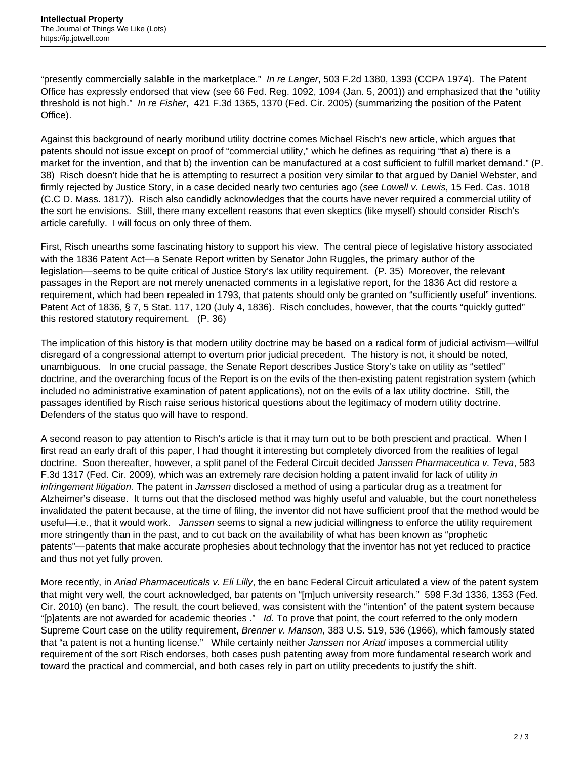"presently commercially salable in the marketplace." In re Langer, 503 F.2d 1380, 1393 (CCPA 1974). The Patent Office has expressly endorsed that view (see 66 Fed. Reg. 1092, 1094 (Jan. 5, 2001)) and emphasized that the "utility threshold is not high." In re Fisher, 421 F.3d 1365, 1370 (Fed. Cir. 2005) (summarizing the position of the Patent Office).

Against this background of nearly moribund utility doctrine comes Michael Risch's new article, which argues that patents should not issue except on proof of "commercial utility," which he defines as requiring "that a) there is a market for the invention, and that b) the invention can be manufactured at a cost sufficient to fulfill market demand." (P. 38) Risch doesn't hide that he is attempting to resurrect a position very similar to that argued by Daniel Webster, and firmly rejected by Justice Story, in a case decided nearly two centuries ago (see Lowell v. Lewis, 15 Fed. Cas. 1018 (C.C D. Mass. 1817)). Risch also candidly acknowledges that the courts have never required a commercial utility of the sort he envisions. Still, there many excellent reasons that even skeptics (like myself) should consider Risch's article carefully. I will focus on only three of them.

First, Risch unearths some fascinating history to support his view. The central piece of legislative history associated with the 1836 Patent Act—a Senate Report written by Senator John Ruggles, the primary author of the legislation—seems to be quite critical of Justice Story's lax utility requirement. (P. 35) Moreover, the relevant passages in the Report are not merely unenacted comments in a legislative report, for the 1836 Act did restore a requirement, which had been repealed in 1793, that patents should only be granted on "sufficiently useful" inventions. Patent Act of 1836, § 7, 5 Stat. 117, 120 (July 4, 1836). Risch concludes, however, that the courts "quickly gutted" this restored statutory requirement. (P. 36)

The implication of this history is that modern utility doctrine may be based on a radical form of judicial activism—willful disregard of a congressional attempt to overturn prior judicial precedent. The history is not, it should be noted, unambiguous. In one crucial passage, the Senate Report describes Justice Story's take on utility as "settled" doctrine, and the overarching focus of the Report is on the evils of the then-existing patent registration system (which included no administrative examination of patent applications), not on the evils of a lax utility doctrine. Still, the passages identified by Risch raise serious historical questions about the legitimacy of modern utility doctrine. Defenders of the status quo will have to respond.

A second reason to pay attention to Risch's article is that it may turn out to be both prescient and practical. When I first read an early draft of this paper, I had thought it interesting but completely divorced from the realities of legal doctrine. Soon thereafter, however, a split panel of the Federal Circuit decided Janssen Pharmaceutica v. Teva, 583 F.3d 1317 (Fed. Cir. 2009), which was an extremely rare decision holding a patent invalid for lack of utility in infringement litigation. The patent in Janssen disclosed a method of using a particular drug as a treatment for Alzheimer's disease. It turns out that the disclosed method was highly useful and valuable, but the court nonetheless invalidated the patent because, at the time of filing, the inventor did not have sufficient proof that the method would be useful—i.e., that it would work. Janssen seems to signal a new judicial willingness to enforce the utility requirement more stringently than in the past, and to cut back on the availability of what has been known as "prophetic patents"—patents that make accurate prophesies about technology that the inventor has not yet reduced to practice and thus not yet fully proven.

More recently, in Ariad Pharmaceuticals v. Eli Lilly, the en banc Federal Circuit articulated a view of the patent system that might very well, the court acknowledged, bar patents on "[m]uch university research." 598 F.3d 1336, 1353 (Fed. Cir. 2010) (en banc). The result, the court believed, was consistent with the "intention" of the patent system because "[p]atents are not awarded for academic theories ." Id. To prove that point, the court referred to the only modern Supreme Court case on the utility requirement, Brenner v. Manson, 383 U.S. 519, 536 (1966), which famously stated that "a patent is not a hunting license." While certainly neither Janssen nor Ariad imposes a commercial utility requirement of the sort Risch endorses, both cases push patenting away from more fundamental research work and toward the practical and commercial, and both cases rely in part on utility precedents to justify the shift.